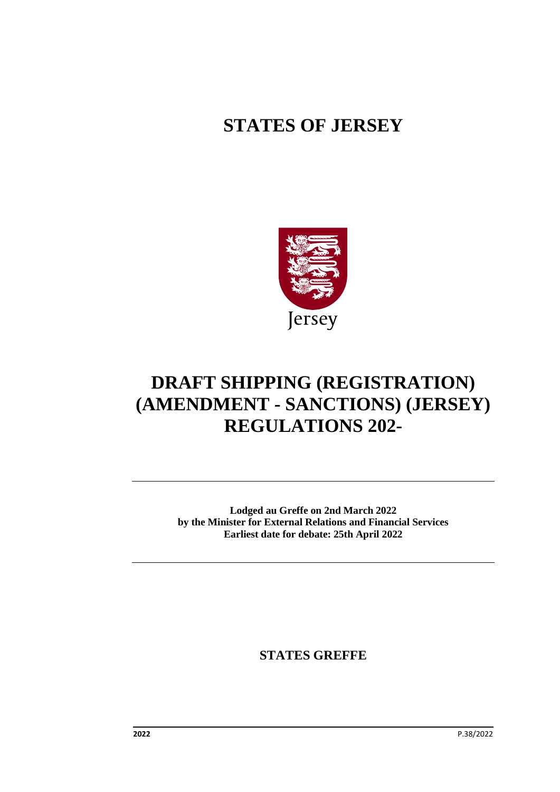# **STATES OF JERSEY**



# **DRAFT SHIPPING (REGISTRATION) (AMENDMENT - SANCTIONS) (JERSEY) REGULATIONS 202-**

**Lodged au Greffe on 2nd March 2022 by the Minister for External Relations and Financial Services Earliest date for debate: 25th April 2022**

**STATES GREFFE**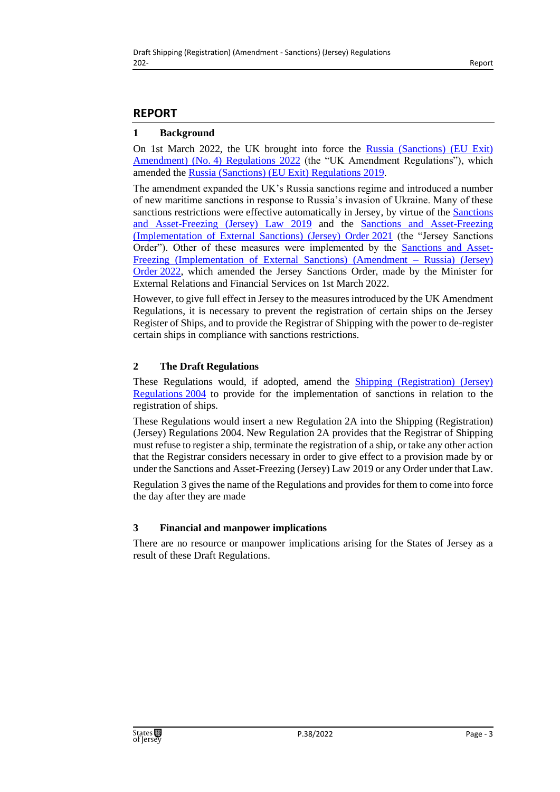# **REPORT**

#### **1 Background**

On 1st March 2022, the UK brought into force the [Russia \(Sanctions\) \(EU Exit\)](https://www.legislation.gov.uk/uksi/2022/203/made)  Amendment) (No. [4\) Regulations 2022](https://www.legislation.gov.uk/uksi/2022/203/made) (the "UK Amendment Regulations"), which amended the [Russia \(Sanctions\) \(EU Exit\) Regulations](https://www.legislation.gov.uk/uksi/2019/855/contents) 2019.

The amendment expanded the UK's Russia sanctions regime and introduced a number of new maritime sanctions in response to Russia's invasion of Ukraine. Many of these sanctions restrictions were effective automatically in Jersey, by virtue of the [Sanctions](https://www.jerseylaw.je/laws/current/Pages/17.750.aspx)  [and Asset-Freezing \(Jersey\) Law 2019](https://www.jerseylaw.je/laws/current/Pages/17.750.aspx) and the [Sanctions and Asset-Freezing](https://www.jerseylaw.je/laws/current/Pages/17.750.02.aspx)  [\(Implementation of External Sanctions\) \(Jersey\) Order](https://www.jerseylaw.je/laws/current/Pages/17.750.02.aspx) 2021 (the "Jersey Sanctions Order"). Other of these measures were implemented by the [Sanctions and Asset-](https://www.jerseylaw.je/laws/enacted/Pages/RO-022-2022.aspx)[Freezing \(Implementation of External Sanctions\) \(Amendment –](https://www.jerseylaw.je/laws/enacted/Pages/RO-022-2022.aspx) Russia) (Jersey) [Order](https://www.jerseylaw.je/laws/enacted/Pages/RO-022-2022.aspx) 2022, which amended the Jersey Sanctions Order, made by the Minister for External Relations and Financial Services on 1st March 2022.

However, to give full effect in Jersey to the measures introduced by the UK Amendment Regulations, it is necessary to prevent the registration of certain ships on the Jersey Register of Ships, and to provide the Registrar of Shipping with the power to de-register certain ships in compliance with sanctions restrictions.

## **2 The Draft Regulations**

These Regulations would, if adopted, amend the [Shipping \(Registration\) \(Jersey\)](https://www.jerseylaw.je/laws/current/Pages/19.885.70.aspx)  [Regulations](https://www.jerseylaw.je/laws/current/Pages/19.885.70.aspx) 2004 to provide for the implementation of sanctions in relation to the registration of ships.

These Regulations would insert a new Regulation 2A into the Shipping (Registration) (Jersey) Regulations 2004. New Regulation 2A provides that the Registrar of Shipping must refuse to register a ship, terminate the registration of a ship, or take any other action that the Registrar considers necessary in order to give effect to a provision made by or under the Sanctions and Asset-Freezing (Jersey) Law 2019 or any Order under that Law.

Regulation 3 gives the name of the Regulations and provides for them to come into force the day after they are made

## **3 Financial and manpower implications**

There are no resource or manpower implications arising for the States of Jersey as a result of these Draft Regulations.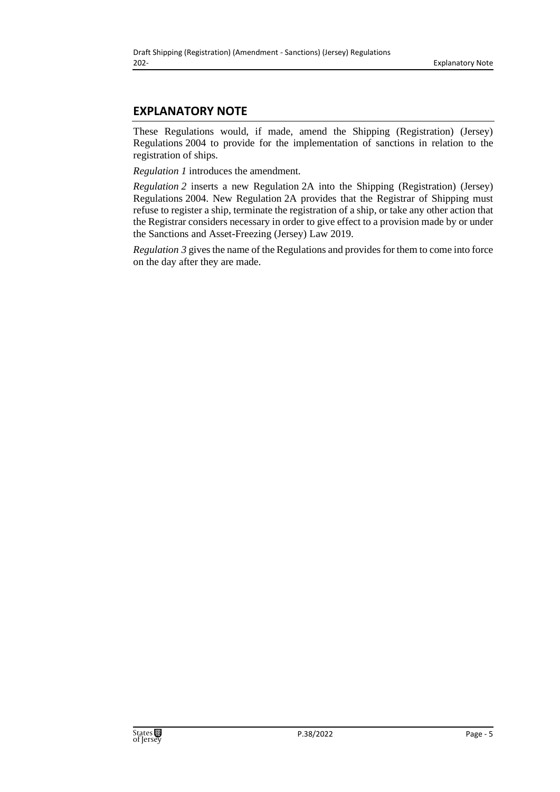# **EXPLANATORY NOTE**

These Regulations would, if made, amend the Shipping (Registration) (Jersey) Regulations 2004 to provide for the implementation of sanctions in relation to the registration of ships.

*Regulation 1* introduces the amendment.

*Regulation 2* inserts a new Regulation 2A into the Shipping (Registration) (Jersey) Regulations 2004. New Regulation 2A provides that the Registrar of Shipping must refuse to register a ship, terminate the registration of a ship, or take any other action that the Registrar considers necessary in order to give effect to a provision made by or under the Sanctions and Asset-Freezing (Jersey) Law 2019.

*Regulation 3* gives the name of the Regulations and provides for them to come into force on the day after they are made.